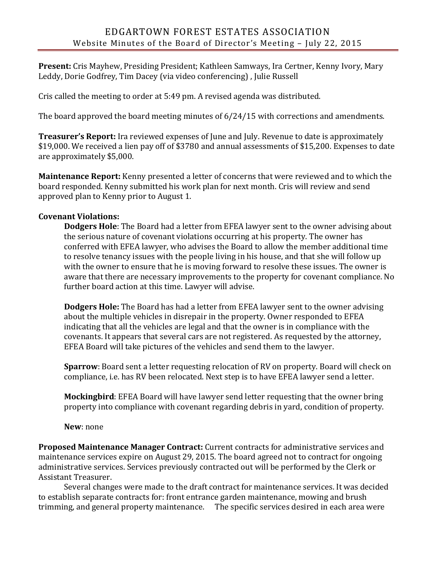**Present:** Cris Mayhew, Presiding President; Kathleen Samways, Ira Certner, Kenny Ivory, Mary Leddy, Dorie Godfrey, Tim Dacey (via video conferencing) , Julie Russell

Cris called the meeting to order at 5:49 pm. A revised agenda was distributed.

The board approved the board meeting minutes of 6/24/15 with corrections and amendments.

**Treasurer's Report:** Ira reviewed expenses of June and July. Revenue to date is approximately \$19,000. We received a lien pay off of \$3780 and annual assessments of \$15,200. Expenses to date are approximately \$5,000.

**Maintenance Report:** Kenny presented a letter of concerns that were reviewed and to which the board responded. Kenny submitted his work plan for next month. Cris will review and send approved plan to Kenny prior to August 1.

## **Covenant Violations:**

**Dodgers Hole**: The Board had a letter from EFEA lawyer sent to the owner advising about the serious nature of covenant violations occurring at his property. The owner has conferred with EFEA lawyer, who advises the Board to allow the member additional time to resolve tenancy issues with the people living in his house, and that she will follow up with the owner to ensure that he is moving forward to resolve these issues. The owner is aware that there are necessary improvements to the property for covenant compliance. No further board action at this time. Lawyer will advise.

**Dodgers Hole:** The Board has had a letter from EFEA lawyer sent to the owner advising about the multiple vehicles in disrepair in the property. Owner responded to EFEA indicating that all the vehicles are legal and that the owner is in compliance with the covenants. It appears that several cars are not registered. As requested by the attorney, EFEA Board will take pictures of the vehicles and send them to the lawyer.

**Sparrow**: Board sent a letter requesting relocation of RV on property. Board will check on compliance, i.e. has RV been relocated. Next step is to have EFEA lawyer send a letter.

**Mockingbird**: EFEA Board will have lawyer send letter requesting that the owner bring property into compliance with covenant regarding debris in yard, condition of property.

## **New**: none

**Proposed Maintenance Manager Contract:** Current contracts for administrative services and maintenance services expire on August 29, 2015. The board agreed not to contract for ongoing administrative services. Services previously contracted out will be performed by the Clerk or Assistant Treasurer.

Several changes were made to the draft contract for maintenance services. It was decided to establish separate contracts for: front entrance garden maintenance, mowing and brush trimming, and general property maintenance. The specific services desired in each area were